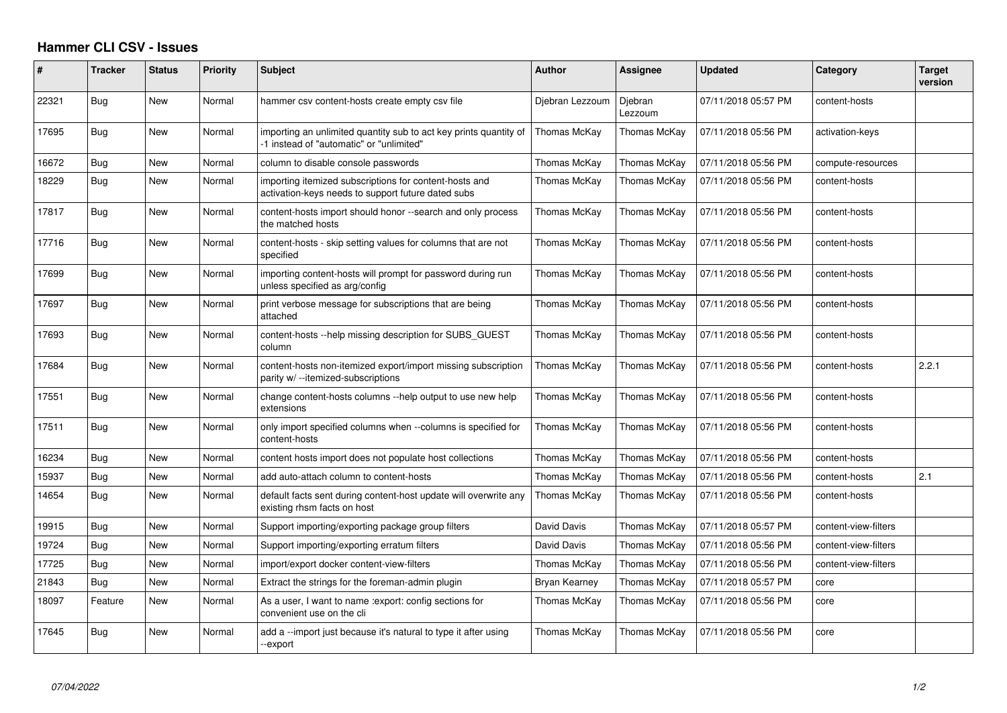## **Hammer CLI CSV - Issues**

| ∦     | <b>Tracker</b> | <b>Status</b> | <b>Priority</b> | <b>Subject</b>                                                                                                | <b>Author</b>   | Assignee           | <b>Updated</b>      | Category             | <b>Target</b><br>version |
|-------|----------------|---------------|-----------------|---------------------------------------------------------------------------------------------------------------|-----------------|--------------------|---------------------|----------------------|--------------------------|
| 22321 | Bug            | New           | Normal          | hammer csv content-hosts create empty csv file                                                                | Diebran Lezzoum | Djebran<br>Lezzoum | 07/11/2018 05:57 PM | content-hosts        |                          |
| 17695 | Bug            | New           | Normal          | importing an unlimited quantity sub to act key prints quantity of<br>-1 instead of "automatic" or "unlimited" | Thomas McKay    | Thomas McKay       | 07/11/2018 05:56 PM | activation-keys      |                          |
| 16672 | Bug            | New           | Normal          | column to disable console passwords                                                                           | Thomas McKay    | Thomas McKay       | 07/11/2018 05:56 PM | compute-resources    |                          |
| 18229 | Bug            | New           | Normal          | importing itemized subscriptions for content-hosts and<br>activation-keys needs to support future dated subs  | Thomas McKav    | Thomas McKay       | 07/11/2018 05:56 PM | content-hosts        |                          |
| 17817 | Bug            | New           | Normal          | content-hosts import should honor --search and only process<br>the matched hosts                              | Thomas McKay    | Thomas McKay       | 07/11/2018 05:56 PM | content-hosts        |                          |
| 17716 | Bug            | <b>New</b>    | Normal          | content-hosts - skip setting values for columns that are not<br>specified                                     | Thomas McKay    | Thomas McKay       | 07/11/2018 05:56 PM | content-hosts        |                          |
| 17699 | Bug            | New           | Normal          | importing content-hosts will prompt for password during run<br>unless specified as arg/config                 | Thomas McKay    | Thomas McKay       | 07/11/2018 05:56 PM | content-hosts        |                          |
| 17697 | Bug            | New           | Normal          | print verbose message for subscriptions that are being<br>attached                                            | Thomas McKay    | Thomas McKay       | 07/11/2018 05:56 PM | content-hosts        |                          |
| 17693 | Bug            | New           | Normal          | content-hosts --help missing description for SUBS GUEST<br>column                                             | Thomas McKay    | Thomas McKay       | 07/11/2018 05:56 PM | content-hosts        |                          |
| 17684 | Bug            | New           | Normal          | content-hosts non-itemized export/import missing subscription<br>parity w/ --itemized-subscriptions           | Thomas McKay    | Thomas McKay       | 07/11/2018 05:56 PM | content-hosts        | 2.2.1                    |
| 17551 | Bug            | <b>New</b>    | Normal          | change content-hosts columns --help output to use new help<br>extensions                                      | Thomas McKay    | Thomas McKay       | 07/11/2018 05:56 PM | content-hosts        |                          |
| 17511 | Bug            | New           | Normal          | only import specified columns when --columns is specified for<br>content-hosts                                | Thomas McKay    | Thomas McKay       | 07/11/2018 05:56 PM | content-hosts        |                          |
| 16234 | Bug            | <b>New</b>    | Normal          | content hosts import does not populate host collections                                                       | Thomas McKay    | Thomas McKay       | 07/11/2018 05:56 PM | content-hosts        |                          |
| 15937 | Bug            | New           | Normal          | add auto-attach column to content-hosts                                                                       | Thomas McKay    | Thomas McKay       | 07/11/2018 05:56 PM | content-hosts        | 2.1                      |
| 14654 | Bug            | New           | Normal          | default facts sent during content-host update will overwrite any<br>existing rhsm facts on host               | Thomas McKay    | Thomas McKay       | 07/11/2018 05:56 PM | content-hosts        |                          |
| 19915 | Bug            | New           | Normal          | Support importing/exporting package group filters                                                             | David Davis     | Thomas McKay       | 07/11/2018 05:57 PM | content-view-filters |                          |
| 19724 | Bug            | <b>New</b>    | Normal          | Support importing/exporting erratum filters                                                                   | David Davis     | Thomas McKay       | 07/11/2018 05:56 PM | content-view-filters |                          |
| 17725 | Bug            | <b>New</b>    | Normal          | import/export docker content-view-filters                                                                     | Thomas McKay    | Thomas McKay       | 07/11/2018 05:56 PM | content-view-filters |                          |
| 21843 | Bug            | New           | Normal          | Extract the strings for the foreman-admin plugin                                                              | Bryan Kearney   | Thomas McKay       | 07/11/2018 05:57 PM | core                 |                          |
| 18097 | Feature        | <b>New</b>    | Normal          | As a user, I want to name : export: config sections for<br>convenient use on the cli                          | Thomas McKav    | Thomas McKay       | 07/11/2018 05:56 PM | core                 |                          |
| 17645 | Bug            | New           | Normal          | add a --import just because it's natural to type it after using<br>-export                                    | Thomas McKay    | Thomas McKay       | 07/11/2018 05:56 PM | core                 |                          |